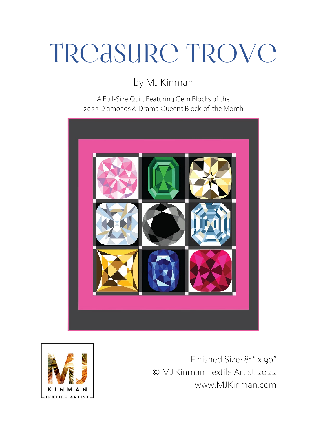# TReasure Trove

by MJ Kinman

A Full-Size Quilt Featuring Gem Blocks of the 2022 Diamonds & Drama Queens Block-of-the Month





Finished Size: 81" x 90" © MJ Kinman Textile Artist 2022 www.MJKinman.com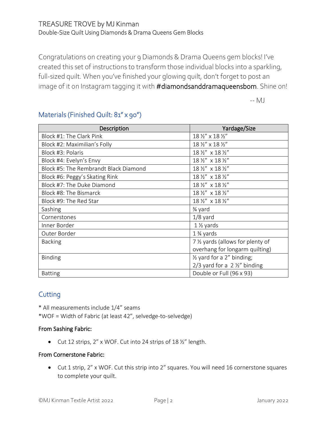# TREASURE TROVE by MJ Kinman Double-Size Quilt Using Diamonds & Drama Queens Gem Blocks

Congratulations on creating your 9 Diamonds & Drama Queens gem blocks! I've created this set of instructions to transform those individual blocks into a sparkling, full-sized quilt. When you've finished your glowing quilt, don't forget to post an image of it on Instagram tagging it with #diamondsanddramaqueensbom. Shine on!

-- MJ

| Description                           | Yardage/Size                             |
|---------------------------------------|------------------------------------------|
| Block #1: The Clark Pink              | 18 1/2" x 18 1/2"                        |
| Block #2: Maximilian's Folly          | 18 1/2" x 18 1/2"                        |
| Block #3: Polaris                     | 18 1/2" x 18 1/2"                        |
| Block #4: Evelyn's Envy               | 18 1/2" x 18 1/2"                        |
| Block #5: The Rembrandt Black Diamond | 18 1/2" x 18 1/2"                        |
| Block #6: Peggy's Skating Rink        | 18 1/2" x 18 1/2"                        |
| Block #7: The Duke Diamond            | 18 1/2" x 18 1/2"                        |
| Block #8: The Bismarck                | 18 1/2" x 18 1/2"                        |
| Block #9: The Red Star                | 18 1/2" x 18 1/2"                        |
| Sashing                               | 3⁄4 yard                                 |
| Cornerstones                          | $1/8$ yard                               |
| Inner Border                          | $1\frac{1}{2}$ yards                     |
| Outer Border                          | $1\frac{3}{4}$ yards                     |
| <b>Backing</b>                        | 7 1/2 yards (allows for plenty of        |
|                                       | overhang for longarm quilting)           |
| <b>Binding</b>                        | $\frac{1}{2}$ yard for a 2" binding;     |
|                                       | $2/3$ yard for a 2 $\frac{1}{2}$ binding |
| <b>Batting</b>                        | Double or Full (96 x 93)                 |

# Materials (Finished Quilt: 81" x 90")

# **Cutting**

\* All measurements include 1/4" seams

\*WOF = Width of Fabric (at least 42", selvedge-to-selvedge)

#### From Sashing Fabric:

• Cut 12 strips, 2" x WOF. Cut into 24 strips of 18 ½" length.

#### From Cornerstone Fabric:

• Cut 1 strip, 2" x WOF. Cut this strip into 2" squares. You will need 16 cornerstone squares to complete your quilt.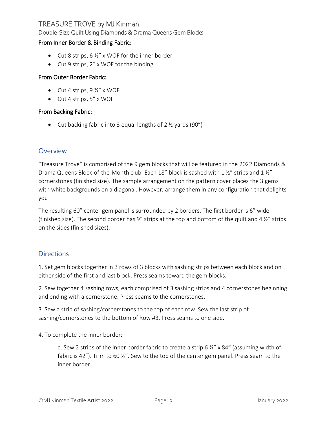# TREASURE TROVE by MJ Kinman

Double-Size Quilt Using Diamonds & Drama Queens Gem Blocks

#### From Inner Border & Binding Fabric:

- Cut 8 strips,  $6\frac{1}{2}$ " x WOF for the inner border.
- Cut 9 strips, 2" x WOF for the binding.

#### From Outer Border Fabric:

- Cut 4 strips,  $9\frac{1}{2}$ " x WOF
- Cut 4 strips, 5" x WOF

#### From Backing Fabric:

• Cut backing fabric into 3 equal lengths of 2 ½ yards (90")

#### **Overview**

"Treasure Trove" is comprised of the 9 gem blocks that will be featured in the 2022 Diamonds & Drama Queens Block-of-the-Month club. Each 18" block is sashed with 1 1/2" strips and 1 1/2" cornerstones (finished size). The sample arrangement on the pattern cover places the 3 gems with white backgrounds on a diagonal. However, arrange them in any configuration that delights you!

The resulting 60" center gem panel is surrounded by 2 borders. The first border is 6" wide (finished size). The second border has 9" strips at the top and bottom of the quilt and 4 ½" strips on the sides (finished sizes).

### **Directions**

1. Set gem blocks together in 3 rows of 3 blocks with sashing strips between each block and on either side of the first and last block. Press seams toward the gem blocks.

2. Sew together 4 sashing rows, each comprised of 3 sashing strips and 4 cornerstones beginning and ending with a cornerstone. Press seams to the cornerstones.

3. Sew a strip of sashing/cornerstones to the top of each row. Sew the last strip of sashing/cornerstones to the bottom of Row #3. Press seams to one side.

4. To complete the inner border:

a. Sew 2 strips of the inner border fabric to create a strip 6  $\frac{1}{2}$ " x 84" (assuming width of fabric is 42"). Trim to 60 ½". Sew to the top of the center gem panel. Press seam to the inner border.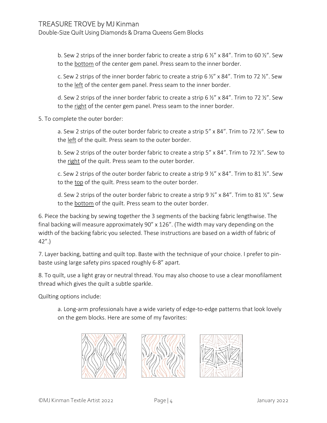b. Sew 2 strips of the inner border fabric to create a strip 6  $\frac{1}{2}$ " x 84". Trim to 60  $\frac{1}{2}$ ". Sew to the bottom of the center gem panel. Press seam to the inner border.

c. Sew 2 strips of the inner border fabric to create a strip 6  $\frac{1}{2}$ " x 84". Trim to 72  $\frac{1}{2}$ ". Sew to the left of the center gem panel. Press seam to the inner border.

d. Sew 2 strips of the inner border fabric to create a strip 6  $\frac{1}{2}$ " x 84". Trim to 72  $\frac{1}{2}$ ". Sew to the right of the center gem panel. Press seam to the inner border.

5. To complete the outer border:

a. Sew 2 strips of the outer border fabric to create a strip 5" x 84". Trim to 72 ½". Sew to the left of the quilt. Press seam to the outer border.

b. Sew 2 strips of the outer border fabric to create a strip 5" x 84". Trim to 72 ½". Sew to the right of the quilt. Press seam to the outer border.

c. Sew 2 strips of the outer border fabric to create a strip  $9\frac{1}{2}$ " x 84". Trim to 81  $\frac{1}{2}$ ". Sew to the top of the quilt. Press seam to the outer border.

d. Sew 2 strips of the outer border fabric to create a strip 9  $\frac{1}{2}$ " x 84". Trim to 81  $\frac{1}{2}$ ". Sew to the bottom of the quilt. Press seam to the outer border.

6. Piece the backing by sewing together the 3 segments of the backing fabric lengthwise. The final backing will measure approximately 90" x 126". (The width may vary depending on the width of the backing fabric you selected. These instructions are based on a width of fabric of 42".)

7. Layer backing, batting and quilt top. Baste with the technique of your choice. I prefer to pinbaste using large safety pins spaced roughly 6-8" apart.

8. To quilt, use a light gray or neutral thread. You may also choose to use a clear monofilament thread which gives the quilt a subtle sparkle.

Quilting options include:

a. Long-arm professionals have a wide variety of edge-to-edge patterns that look lovely on the gem blocks. Here are some of my favorites: